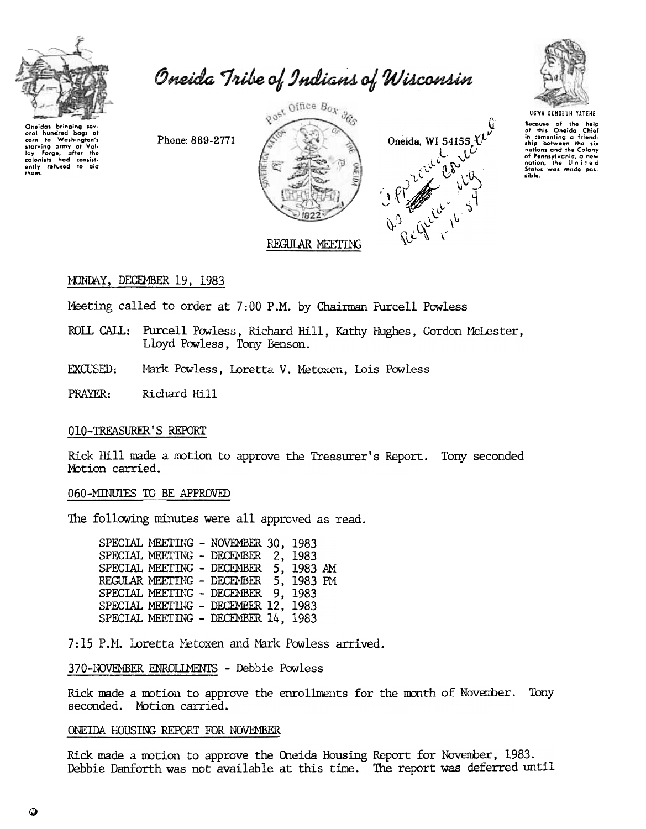

even to Weshington's<br>starving army at Valley Forge, after the<br>loy Forge, after the<br>clonists had consistently refused to aid<br>them.

oral hundred

bags of

Oneida Tribe of Indians of Wisconsin

Phone: 869-2771







UGWA DEHOLUH YATEHE

Secause of the help<br>of this Oneida Chief<br>in comenting a friend-<br>ship between the six<br>nations and the Colony of Pennsylvania, a new<br>nation, the United sible.

# MONDAY, DECEMBER 19, 1983

Meeting called to order at 7:00 P.M. by Chairman Purcell Powless

- ROLL CALL: Purcell Powless, Richard Hill, Kathy Hughes, Gordon McLester, Lloyd Powless, Tony Benson.
- EXCUSED: Mark Powless, Loretta V. Metoxen, Lois Powless

PRAYER: Richard Hill

## 010-TREASURER'S REPORT

Rick Hill made a motion to approve the Treasurer's Report. Tony seconded Motion carried.

## 060-MINUTES TO BE APPROVED

The following minutes were all approved as read.

SPECIAL MEETING - NOVEMBER 30, 1983 SPECIAL MEETING - DECEMBER 2, 1983 SPECIAL MEETING - DECEMBER 5, 1983 AM REGULAR MEETING - DECEMBER 5, 1983 PM SPECIAL MEETING - DECEMBER 9, 1983 SPECIAL MEETING - DECEMBER 12, 1983 SPECIAL MEETING - DECEMBER 14, 1983

7:15 P.M. Loretta Metoxen and Mark Powless arrived.

## 370-NOVEMBER ENROLLMENTS - Debbie Powless

Rick made a motion to approve the enrollments for the month of November. Tony seconded. Motion carried.

## ONEIDA HOUSING REPORT FOR NOVEMBER

Rick made a motion to approve the Oneida Housing Report for November, 1983. Debbie Danforth was not available at this time. The report was deferred until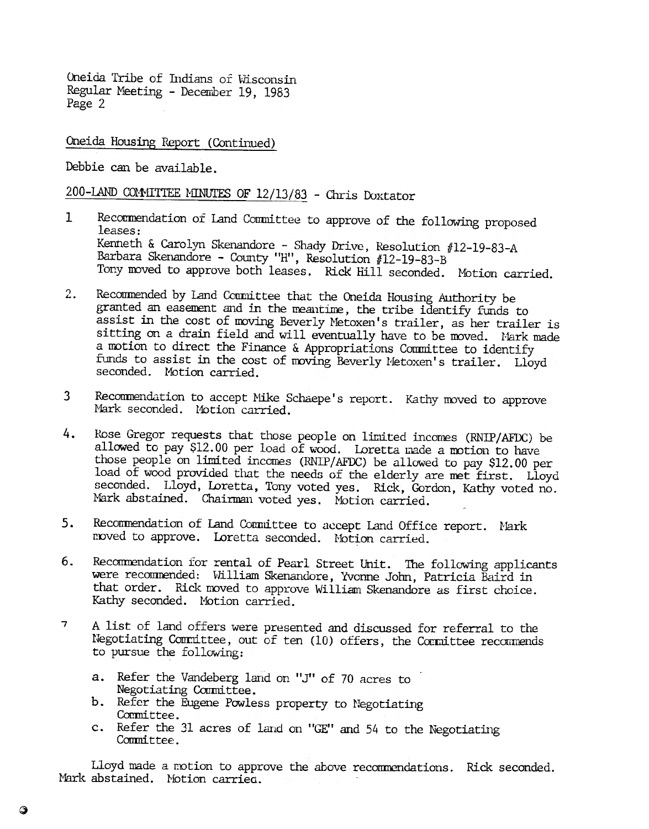Oneida Tribe of Indians of Wisconsin Regular Meeting - December 19, 1983 Page 2

Oneida Housing Report (Continued)

Debbie can be available.

200-LAND COMMITTEE MINUTES OF  $12/13/83$  - Chris Doxtator

- 1 Recommendation of Land Committee to approve of the following proposed leases: Kenneth & Carolyn Skenandore - Shady Drive, Resolution #12-19-83-A Barbara Skenandore - County "H", Resolution #12-19-83-B Tony moved to approve both leases. Rick Hill seconded. Motion carried.
- 2. Recommended by Land Committee that the Oneida Housing Authority be granted an easement and in the meantime, the tribe identify funds to assist in the cost of moving Beverly Metoxen's trailer, as her trailer is sitting on a drain field and will eventually have to be moved. Nark made a motion to direct the Finance & Appropriations Committee to identify funds to assist in the cost of moving Beverly l'etoxen's trailer. Lloyd seconded. Motion carried.
- 3 Recommendation to accept Mike Schaepe's report. Kathy moved to approve Mark seconded. Motion carried.
- 4. Rose Gregor requests that those people on limited incomes (RNIP/AFDC) be allowed to pay \$12.00 per load of wood. Loretta made a motion to have those people on limited incomes (RNIP/AFDC) be allowed to pay \$12.00 per load of wood provided that the needs of the elderly are met first. Lloyd seconded. Lloyd, Loretta, Tony voted yes. Rick, Gordon, Kathy voted no. Mark abstained. Chairman voted yes. Motion carried.
- 5. Recommendation of Land Connittee to accept Land Office report. Mark moved to approve. Loretta seconded. Motion carried.
- Recommendation for rental of Pearl Street Unit. The following applicants 6. were recommended: William Skenandore, Yvonne John, Patricia Baird in that order. Rick moved to approve William Skenandore as first choice. Kathy seconded. Motion carried.
- 7 A list of land offers were presented and discussed for referral to the Negotiating Committee, out of ten (10) offers, the Committee recommends to pursue the following:
	- a. Refer the Vandeberg land on "J" of 70 acres to Negotiating Committee.
	- b. Refer the Eugene Powless property to Negotiati
	- Committee.<br>c. Refer the 31 acres of land on "GE" and 54 to the Negotiating Committee.

Lloyd made a motion to approve the above recommendations. Rick seconded Mark abstained. Motion carried.